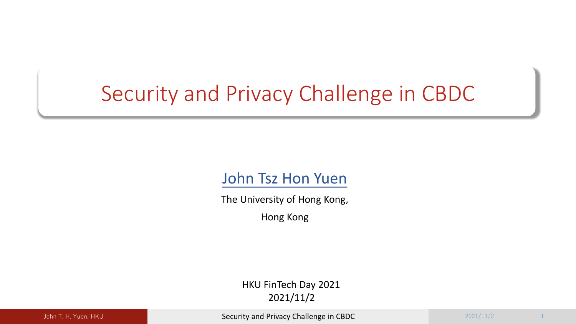# Security and Privacy Challenge in CBDC

### John Tsz Hon Yuen

The University of Hong Kong,

Hong Kong

HKU FinTech Day 2021 2021/11/2

John T. H. Yuen, HKU 2021/11/2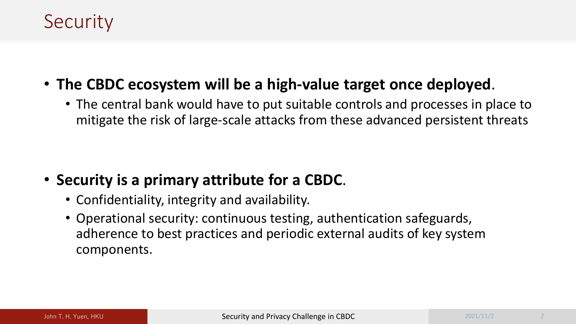## **Security**

- **The CBDC ecosystem will be a high-value target once deployed**.
	- The central bank would have to put suitable controls and processes in place to mitigate the risk of large-scale attacks from these advanced persistent threats

- **Security is a primary attribute for a CBDC**.
	- Confidentiality, integrity and availability.
	- Operational security: continuous testing, authentication safeguards, adherence to best practices and periodic external audits of key system components.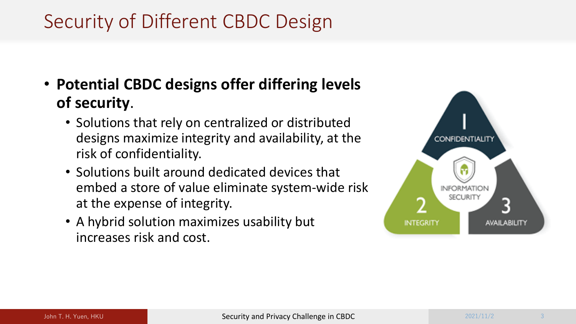# Security of Different CBDC Design

- **Potential CBDC designs offer differing levels of security**.
	- Solutions that rely on centralized or distributed designs maximize integrity and availability, at the risk of confidentiality.
	- Solutions built around dedicated devices that embed a store of value eliminate system-wide risk at the expense of integrity.
	- A hybrid solution maximizes usability but increases risk and cost.

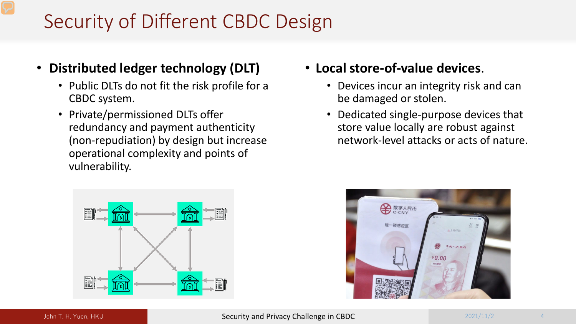# Security of Different CBDC Design

- **Distributed ledger technology (DLT)**
	- Public DLTs do not fit the risk profile for a CBDC system.
	- Private/permissioned DLTs offer redundancy and payment authenticity (non-repudiation) by design but increase operational complexity and points of vulnerability.
- **Local store-of-value devices**.
	- Devices incur an integrity risk and can be damaged or stolen.
	- Dedicated single-purpose devices that store value locally are robust against network-level attacks or acts of nature.



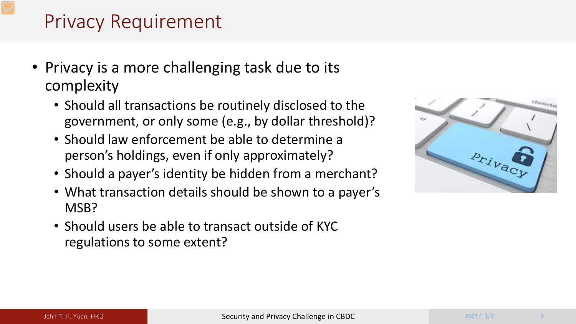# Privacy Requirement

- Privacy is a more challenging task due to its complexity
	- Should all transactions be routinely disclosed to the government, or only some (e.g., by dollar threshold)?
	- Should law enforcement be able to determine a person's holdings, even if only approximately?
	- Should a payer's identity be hidden from a merchant?
	- What transaction details should be shown to a payer's MSB?
	- Should users be able to transact outside of KYC regulations to some extent?

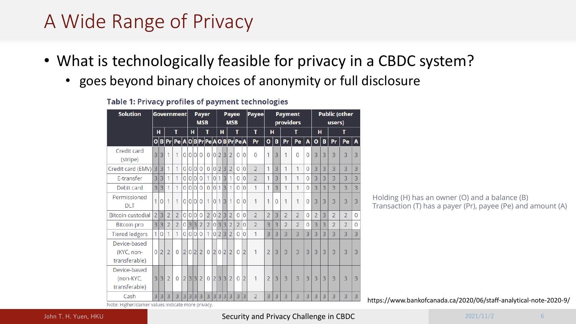# A Wide Range of Privacy

- What is technologically feasible for privacy in a CBDC system?
	- goes beyond binary choices of anonymity or full disclosure

#### Table 1: Privacy profiles of payment technologies

| <b>Solution</b>            | <b>Government</b> |                |                |                              |                | <b>Payer</b><br><b>MSB</b> |                |                |                | <b>Payee</b><br><b>MSB</b> |                |                |                |                | Payee          | <b>Payment</b><br>providers |                |   |                | <b>Public (other</b><br>users) |                |                |   |                |                |              |
|----------------------------|-------------------|----------------|----------------|------------------------------|----------------|----------------------------|----------------|----------------|----------------|----------------------------|----------------|----------------|----------------|----------------|----------------|-----------------------------|----------------|---|----------------|--------------------------------|----------------|----------------|---|----------------|----------------|--------------|
|                            |                   | н              | Т              |                              | н              |                            |                | т              |                | н                          |                |                | T              |                | т              | н                           |                | т |                |                                | н              |                | т |                |                |              |
|                            | $\mathbf{o}$      |                | B Pr           | Pe A O B Pr Pe A O B Pr Pe A |                |                            |                |                |                |                            |                |                |                |                |                | Pr                          | $\mathbf{o}$   | B | Pr             | Pe                             | $\mathbf{A}$   | o              | в | Pr             | Pe             | $\mathbf{A}$ |
| Credit card<br>(stripe)    | 3                 | 3              | 1              | 1                            | $\overline{0}$ |                            |                | 0 0 0          | $\mathbf 0$    | $\overline{0}$             | 2 3            |                | $\overline{2}$ | $\overline{0}$ | 0              | $\mathbf{0}$                | 1              | 3 | 1              | 0                              | 0              | 3              | 3 | 3              | 3              | 3            |
| Credit card (EMV)          | 3                 | 3              |                | 1                            | 0              | 0                          | $\overline{0}$ | $\overline{0}$ | $\overline{0}$ | 0                          | $\overline{2}$ | $\overline{3}$ | $\overline{2}$ | $\overline{0}$ | $\overline{0}$ | $\overline{2}$              | 1              | 3 | 1              | 1                              | $\overline{0}$ | 3              | 3 | 3              | 3              | 3            |
| E-transfer                 | 3                 | 3              |                | 1                            | 0              | $\Omega$                   | $\overline{0}$ | $\overline{0}$ | 1              | $\overline{0}$             | 1              | $\overline{3}$ | 1              | $\overline{0}$ | 0              | $\overline{2}$              | 1              | 3 | 1              | 1                              | $\overline{0}$ | 3              | 3 | 3              | 3              | 3            |
| Debit card                 | 3                 | 3              |                | 1                            | 0              | $\overline{0}$             | 0              | $\overline{0}$ | $\overline{0}$ | 0                          | 1              | 3              |                | $\overline{0}$ | Ō              | 1                           | 1              | 3 | 1              | 1                              | 0              | 3              | 3 | 3              | 3              | 3            |
| Permissioned<br><b>DLT</b> | 1                 | 0              | 1              | 1                            | $\overline{0}$ |                            | 0 0            | $\overline{0}$ | 1              | $\overline{0}$             | 1              | $\overline{3}$ |                | $\overline{0}$ | 0              | 1                           | 1              | 0 | 1              | 1                              | $\Omega$       | 3              | 3 | 3              | 3              | 3            |
| <b>Bitcoin custodial</b>   | 2                 | 3              | $\overline{2}$ | $\overline{2}$               | $\overline{0}$ | 0                          | $\overline{0}$ | $\overline{0}$ | $\overline{2}$ | 0                          | $\overline{2}$ | $\overline{3}$ | $\overline{2}$ | $\overline{0}$ | Ō              | $\overline{2}$              | $\overline{2}$ | 3 | $\overline{2}$ | $\overline{2}$                 | $\Omega$       | $\overline{2}$ | 3 | $\overline{2}$ | $\overline{2}$ | $\Omega$     |
| <b>Bitcoin</b> pro         | 3                 | 3              | $\overline{2}$ | $\overline{2}$               | $\overline{0}$ | 3                          | 3              | $\overline{2}$ | $\overline{2}$ | 0                          | 3              | 13             | $\overline{2}$ | $\overline{2}$ | 0              | $\overline{2}$              | 3              | 3 | $\overline{2}$ | $\overline{2}$                 | $\Omega$       | 3              | 3 | $\overline{2}$ | $\overline{2}$ | $\Omega$     |
| <b>Tiered ledgers</b>      | 1                 | $\overline{0}$ |                | 1                            | $\overline{0}$ |                            | 0 0            | $\overline{0}$ | 1              | 0                          | $\overline{2}$ | 3              | $\overline{2}$ | $\overline{0}$ | Ō              | 1                           | 3              | 3 | 3              | 3                              | 3              | 3              | 3 | 3              | 3              | 3            |
| Device-based               |                   |                |                |                              |                |                            |                |                |                |                            |                |                |                |                |                |                             |                |   |                |                                |                |                |   |                |                |              |
| (KYC, non-                 | 0                 | $\overline{2}$ | $\overline{2}$ | $\Omega$                     | $\overline{2}$ | 0 <sup>2</sup>             |                | $\overline{2}$ | $\Omega$       | 2                          | $\overline{0}$ | 2              | $\overline{2}$ | $\overline{0}$ | $\overline{2}$ | 1                           | $\overline{2}$ | 3 | 3              | 3                              | 3              | 3              | 3 | $\overline{3}$ | 3              | 3            |
| transferable)              |                   |                |                |                              |                |                            |                |                |                |                            |                |                |                |                |                |                             |                |   |                |                                |                |                |   |                |                |              |
| Device-based               |                   |                |                |                              |                |                            |                |                |                |                            |                |                |                |                |                |                             |                |   |                |                                |                |                |   |                |                |              |
| (non-KYC,                  | 3                 | 3              | $\overline{2}$ | $\Omega$                     | $\overline{2}$ | 3 3                        |                | $\overline{2}$ | $\mathbf{0}$   | $\overline{2}$             | 3 3            |                | $\overline{2}$ | 0              | $\overline{2}$ | 1                           | $\overline{2}$ | 3 | 3              | 3                              | 3              | 3              | 3 | 3              | 3              | 3            |
| transferable)              |                   |                |                |                              |                |                            |                |                |                |                            |                |                |                |                |                |                             |                |   |                |                                |                |                |   |                |                |              |
| Cash                       | 3                 | 3              | 3              | 3                            | 3              |                            | 3 3            | 3              | 3              | 3                          | 3 3            |                | 3              | 3              | 3              | $\overline{2}$              | 3              | 3 | 3              | 3                              | 3              | 3              | 3 | 3              | 3              | 3            |

Holding (H) has an owner (O) and a balance (B) Transaction (T) has a payer (Pr), payee (Pe) and amount (A)

https://www.bankofcanada.ca/2020/06/staff-analytical-note-2020-9/

Note: Higher/darker values indicate more privacy.

#### John T. H. Yuen, HKU Superior of the Security and Privacy Challenge in CBDC 2021/11/2 2021/11/2 6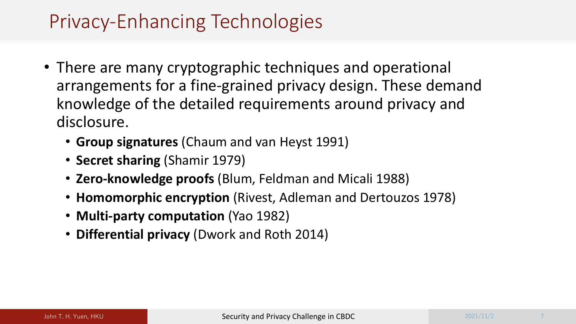## Privacy-Enhancing Technologies

- There are many cryptographic techniques and operational arrangements for a fine-grained privacy design. These demand knowledge of the detailed requirements around privacy and disclosure.
	- **Group signatures** (Chaum and van Heyst 1991)
	- **Secret sharing** (Shamir 1979)
	- **Zero-knowledge proofs** (Blum, Feldman and Micali 1988)
	- **Homomorphic encryption** (Rivest, Adleman and Dertouzos 1978)
	- **Multi-party computation** (Yao 1982)
	- **Differential privacy** (Dwork and Roth 2014)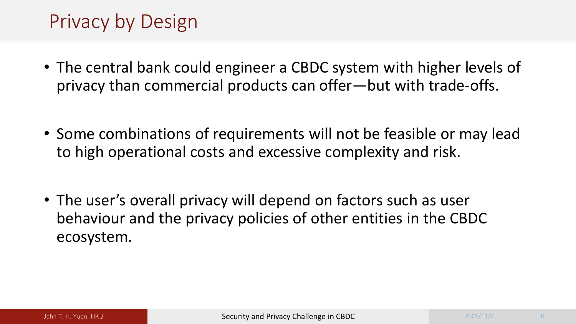# Privacy by Design

- The central bank could engineer a CBDC system with higher levels of privacy than commercial products can offer—but with trade-offs.
- Some combinations of requirements will not be feasible or may lead to high operational costs and excessive complexity and risk.
- The user's overall privacy will depend on factors such as user behaviour and the privacy policies of other entities in the CBDC ecosystem.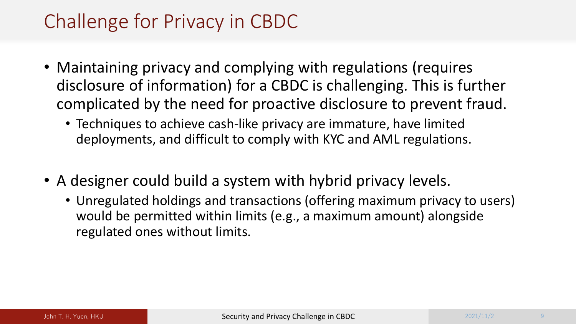# Challenge for Privacy in CBDC

- Maintaining privacy and complying with regulations (requires disclosure of information) for a CBDC is challenging. This is further complicated by the need for proactive disclosure to prevent fraud.
	- Techniques to achieve cash-like privacy are immature, have limited deployments, and difficult to comply with KYC and AML regulations.
- A designer could build a system with hybrid privacy levels.
	- Unregulated holdings and transactions (offering maximum privacy to users) would be permitted within limits (e.g., a maximum amount) alongside regulated ones without limits.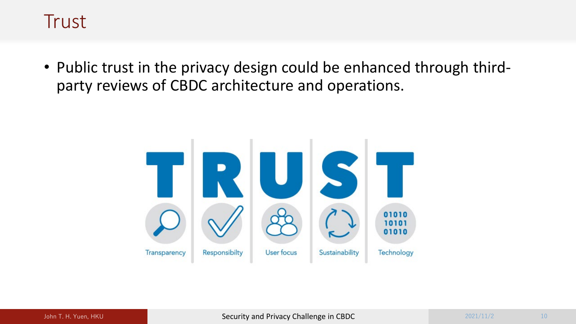### **Trust**

• Public trust in the privacy design could be enhanced through thirdparty reviews of CBDC architecture and operations.

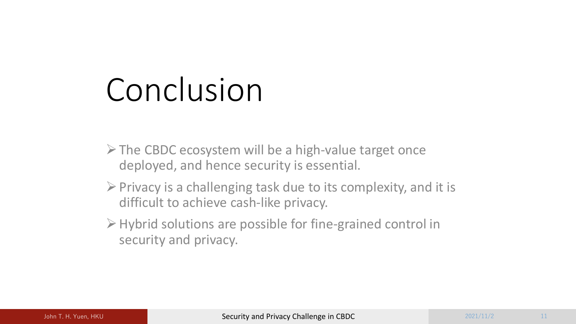# Conclusion

- $\triangleright$  The CBDC ecosystem will be a high-value target once deployed, and hence security is essential.
- $\triangleright$  Privacy is a challenging task due to its complexity, and it is difficult to achieve cash-like privacy.
- Hybrid solutions are possible for fine-grained control in security and privacy.